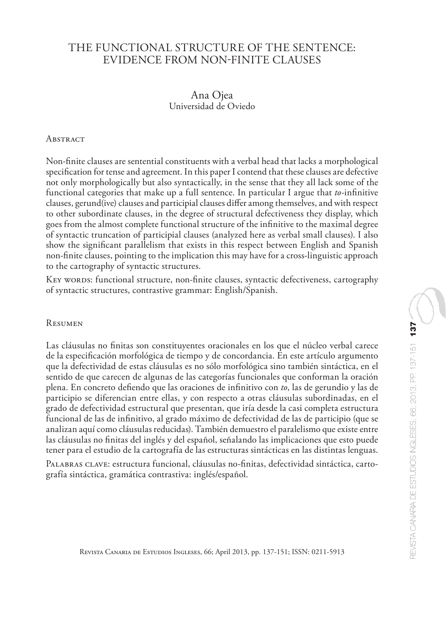# THE FUNCTIONAL STRUCTURE OF THE SENTENCE: EVIDENCE FROM NON-FINITE CLAUSES

## Ana Ojea Universidad de Oviedo

#### **ABSTRACT**

Non-finite clauses are sentential constituents with a verbal head that lacks a morphological specification for tense and agreement. In this paper I contend that these clauses are defective not only morphologically but also syntactically, in the sense that they all lack some of the functional categories that make up a full sentence. In particular I argue that *to*-infinitive clauses, gerund(ive) clauses and participial clauses differ among themselves, and with respect to other subordinate clauses, in the degree of structural defectiveness they display, which goes from the almost complete functional structure of the infinitive to the maximal degree of syntactic truncation of participial clauses (analyzed here as verbal small clauses). I also show the significant parallelism that exists in this respect between English and Spanish non-finite clauses, pointing to the implication this may have for a cross-linguistic approach to the cartography of syntactic structures.

Key words: functional structure, non-finite clauses, syntactic defectiveness, cartography of syntactic structures, contrastive grammar: English/Spanish.

#### Resumen

Las cláusulas no finitas son constituyentes oracionales en los que el núcleo verbal carece de la especificación morfológica de tiempo y de concordancia. En este artículo argumento que la defectividad de estas cláusulas es no sólo morfológica sino también sintáctica, en el sentido de que carecen de algunas de las categorías funcionales que conforman la oración plena. En concreto defiendo que las oraciones de infinitivo con *to*, las de gerundio y las de participio se diferencian entre ellas, y con respecto a otras cláusulas subordinadas, en el grado de defectividad estructural que presentan, que iría desde la casi completa estructura funcional de las de infinitivo, al grado máximo de defectividad de las de participio (que se analizan aquí como cláusulas reducidas). También demuestro el paralelismo que existe entre las cláusulas no finitas del inglés y del español, señalando las implicaciones que esto puede tener para el estudio de la cartografía de las estructuras sintácticas en las distintas lenguas.

Palabras clave: estructura funcional, cláusulas no-finitas, defectividad sintáctica, cartografía sintáctica, gramática contrastiva: inglés/español.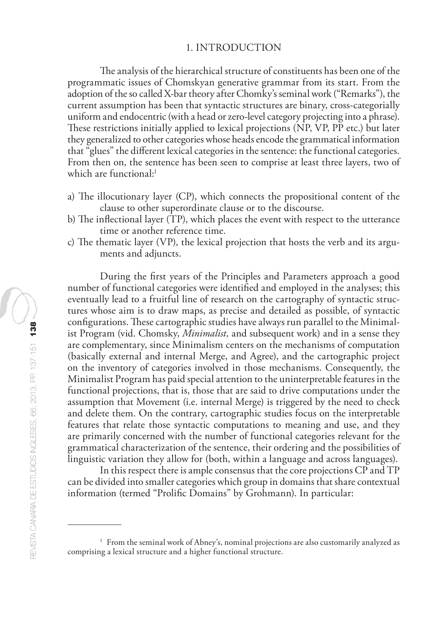### 1. INTRODUCTION

The analysis of the hierarchical structure of constituents has been one of the programmatic issues of Chomskyan generative grammar from its start. From the adoption of the so called X-bar theory after Chomky's seminal work ("Remarks"), the current assumption has been that syntactic structures are binary, cross-categorially uniform and endocentric (with a head or zero-level category projecting into a phrase). These restrictions initially applied to lexical projections (NP, VP, PP etc.) but later they generalized to other categories whose heads encode the grammatical information that "glues" the different lexical categories in the sentence: the functional categories. From then on, the sentence has been seen to comprise at least three layers, two of which are functional:<sup>1</sup>

- a) The illocutionary layer (CP), which connects the propositional content of the clause to other superordinate clause or to the discourse.
- b) The inflectional layer (TP), which places the event with respect to the utterance time or another reference time.
- c) The thematic layer (VP), the lexical projection that hosts the verb and its arguments and adjuncts.

During the first years of the Principles and Parameters approach a good number of functional categories were identified and employed in the analyses; this eventually lead to a fruitful line of research on the cartography of syntactic structures whose aim is to draw maps, as precise and detailed as possible, of syntactic configurations. These cartographic studies have always run parallel to the Minimalist Program (vid. Chomsky, *Minimalist,* and subsequent work) and in a sense they are complementary, since Minimalism centers on the mechanisms of computation (basically external and internal Merge, and Agree), and the cartographic project on the inventory of categories involved in those mechanisms. Consequently, the Minimalist Program has paid special attention to the uninterpretable features in the functional projections, that is, those that are said to drive computations under the assumption that Movement (i.e. internal Merge) is triggered by the need to check and delete them. On the contrary, cartographic studies focus on the interpretable features that relate those syntactic computations to meaning and use, and they are primarily concerned with the number of functional categories relevant for the grammatical characterization of the sentence, their ordering and the possibilities of linguistic variation they allow for (both, within a language and across languages).

In this respect there is ample consensus that the core projections CP and TP can be divided into smaller categories which group in domains that share contextual information (termed "Prolific Domains" by Grohmann). In particular:

<sup>&</sup>lt;sup>1</sup> From the seminal work of Abney's, nominal projections are also customarily analyzed as comprising a lexical structure and a higher functional structure.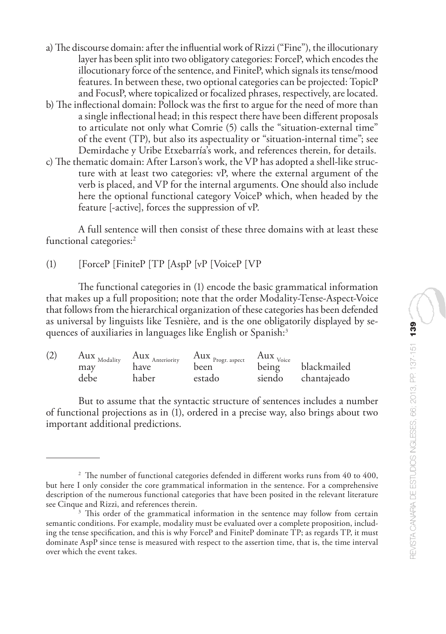- a) The discourse domain: after the influential work of Rizzi ("Fine"), the illocutionary layer has been split into two obligatory categories: ForceP, which encodes the illocutionary force of the sentence, and FiniteP, which signals its tense/mood features. In between these, two optional categories can be projected: TopicP and FocusP, where topicalized or focalized phrases, respectively, are located.
- b) The inflectional domain: Pollock was the first to argue for the need of more than a single inflectional head; in this respect there have been different proposals to articulate not only what Comrie (5) calls the "situation-external time" of the event (TP), but also its aspectuality or "situation-internal time"; see Demirdache y Uribe Etxebarría's work, and references therein, for details.
- c) The thematic domain: After Larson's work, the VP has adopted a shell-like structure with at least two categories: vP, where the external argument of the verb is placed, and VP for the internal arguments. One should also include here the optional functional category VoiceP which, when headed by the feature [-active], forces the suppression of vP.

A full sentence will then consist of these three domains with at least these functional categories:<sup>2</sup>

(1) [ForceP [FiniteP [TP [AspP [vP [VoiceP [VP

The functional categories in (1) encode the basic grammatical information that makes up a full proposition; note that the order Modality-Tense-Aspect-Voice that follows from the hierarchical organization of these categories has been defended as universal by linguists like Tesnière, and is the one obligatorily displayed by sequences of auxiliaries in languages like English or Spanish:<sup>3</sup>

| (2) | Aux <sub>Modality</sub> | Aux <sub>Anteriority</sub> | $\frac{\text{Aux}}{\text{1}}$ Progr. aspect | Aux <sub>Voice</sub> |             |
|-----|-------------------------|----------------------------|---------------------------------------------|----------------------|-------------|
|     | may                     | have                       | been                                        | being                | blackmailed |
|     | debe                    | haber                      | estado                                      | siendo               | chantajeado |

But to assume that the syntactic structure of sentences includes a number of functional projections as in (1), ordered in a precise way, also brings about two important additional predictions.

<sup>&</sup>lt;sup>2</sup> The number of functional categories defended in different works runs from 40 to 400, but here I only consider the core grammatical information in the sentence. For a comprehensive description of the numerous functional categories that have been posited in the relevant literature see Cinque and Rizzi, and references therein.

<sup>&</sup>lt;sup>3</sup> This order of the grammatical information in the sentence may follow from certain semantic conditions. For example, modality must be evaluated over a complete proposition, including the tense specification, and this is why ForceP and FiniteP dominate TP; as regards TP, it must dominate AspP since tense is measured with respect to the assertion time, that is, the time interval over which the event takes.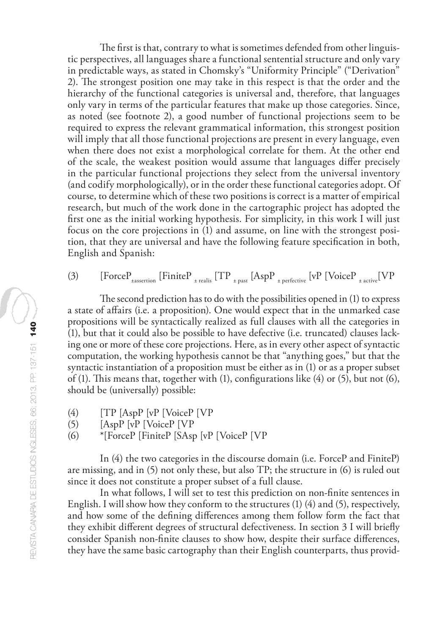The first is that, contrary to what is sometimes defended from other linguistic perspectives, all languages share a functional sentential structure and only vary in predictable ways, as stated in Chomsky's "Uniformity Principle" ("Derivation" 2). The strongest position one may take in this respect is that the order and the hierarchy of the functional categories is universal and, therefore, that languages only vary in terms of the particular features that make up those categories. Since, as noted (see footnote 2), a good number of functional projections seem to be required to express the relevant grammatical information, this strongest position will imply that all those functional projections are present in every language, even when there does not exist a morphological correlate for them. At the other end of the scale, the weakest position would assume that languages differ precisely in the particular functional projections they select from the universal inventory (and codify morphologically), or in the order these functional categories adopt. Of course, to determine which of these two positions is correct is a matter of empirical research, but much of the work done in the cartographic project has adopted the first one as the initial working hypothesis. For simplicity, in this work I will just focus on the core projections in (1) and assume, on line with the strongest position, that they are universal and have the following feature specification in both, English and Spanish:

$$
(3) \qquad \text{[ForceP}_{\text{\tiny{4assertion}}}\text{ [FiniteP}_{\text{\tiny{1-}realis}}\text{ [TP}_{\text{\tiny{1-}past}}\text{ [AspP}_{\text{\tiny{1-}perfective}}\text{ [vP [VoiceP}_{\text{\tiny{1-}active}}\text{ [VP}
$$

The second prediction has to do with the possibilities opened in (1) to express a state of affairs (i.e. a proposition). One would expect that in the unmarked case propositions will be syntactically realized as full clauses with all the categories in (1), but that it could also be possible to have defective (i.e. truncated) clauses lacking one or more of these core projections. Here, as in every other aspect of syntactic computation, the working hypothesis cannot be that "anything goes," but that the syntactic instantiation of a proposition must be either as in (1) or as a proper subset of (1). This means that, together with (1), configurations like (4) or (5), but not (6), should be (universally) possible:

- (4) [TP [AspP [vP [VoiceP [VP<br>(5) [AspP [vP [VoiceP [VP
- [AspP [vP [VoiceP [VP
- (6) \*[ForceP [FiniteP [SAsp [vP [VoiceP [VP

In (4) the two categories in the discourse domain (i.e. ForceP and FiniteP) are missing, and in (5) not only these, but also TP; the structure in (6) is ruled out since it does not constitute a proper subset of a full clause.

In what follows, I will set to test this prediction on non-finite sentences in English. I will show how they conform to the structures (1) (4) and (5), respectively, and how some of the defining differences among them follow form the fact that they exhibit different degrees of structural defectiveness. In section 3 I will briefly consider Spanish non-finite clauses to show how, despite their surface differences, they have the same basic cartography than their English counterparts, thus provid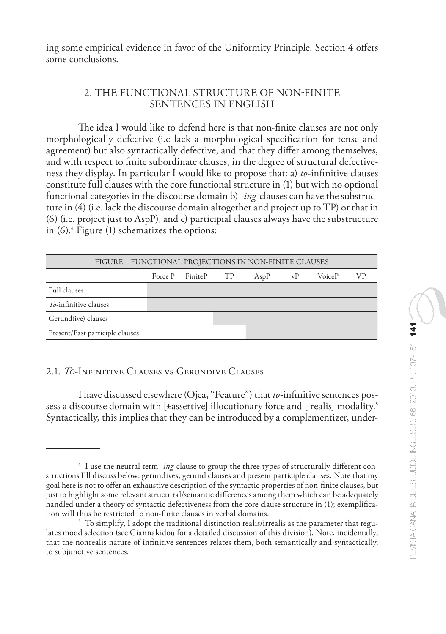ing some empirical evidence in favor of the Uniformity Principle. Section 4 offers some conclusions.

## 2. THE FUNCTIONAL STRUCTURE OF NON-FINITE SENTENCES IN ENGLISH

The idea I would like to defend here is that non-finite clauses are not only morphologically defective (i.e lack a morphological specification for tense and agreement) but also syntactically defective, and that they differ among themselves, and with respect to finite subordinate clauses, in the degree of structural defectiveness they display. In particular I would like to propose that: a) *to*-infinitive clauses constitute full clauses with the core functional structure in (1) but with no optional functional categories in the discourse domain b) *-ing*-clauses can have the substructure in (4) (i.e. lack the discourse domain altogether and project up to TP) or that in (6) (i.e. project just to AspP), and c) participial clauses always have the substructure in (6).4 Figure (1) schematizes the options:

| FIGURE 1 FUNCTIONAL PROJECTIONS IN NON-FINITE CLAUSES |  |                  |                 |      |    |               |    |
|-------------------------------------------------------|--|------------------|-----------------|------|----|---------------|----|
|                                                       |  | Force P Finite P | TP <sub>1</sub> | AspP | vP | <b>VoiceP</b> | VР |
| Full clauses                                          |  |                  |                 |      |    |               |    |
| To-infinitive clauses                                 |  |                  |                 |      |    |               |    |
| Gerund(ive) clauses                                   |  |                  |                 |      |    |               |    |
| Present/Past participle clauses                       |  |                  |                 |      |    |               |    |

## 2.1. *To*-Infinitive Clauses vs Gerundive Clauses

I have discussed elsewhere (Ojea, "Feature") that *to*-infinitive sentences possess a discourse domain with [±assertive] illocutionary force and [-realis] modality.<sup>5</sup> Syntactically, this implies that they can be introduced by a complementizer, under-

<sup>4</sup> I use the neutral term -*ing*-clause to group the three types of structurally different constructions I'll discuss below: gerundives, gerund clauses and present participle clauses. Note that my goal here is not to offer an exhaustive description of the syntactic properties of non-finite clauses, but just to highlight some relevant structural/semantic differences among them which can be adequately handled under a theory of syntactic defectiveness from the core clause structure in (1); exemplification will thus be restricted to non-finite clauses in verbal domains.

<sup>&</sup>lt;sup>5</sup> To simplify, I adopt the traditional distinction realis/irrealis as the parameter that regulates mood selection (see Giannakidou for a detailed discussion of this division). Note, incidentally, that the nonrealis nature of infinitive sentences relates them, both semantically and syntactically, to subjunctive sentences.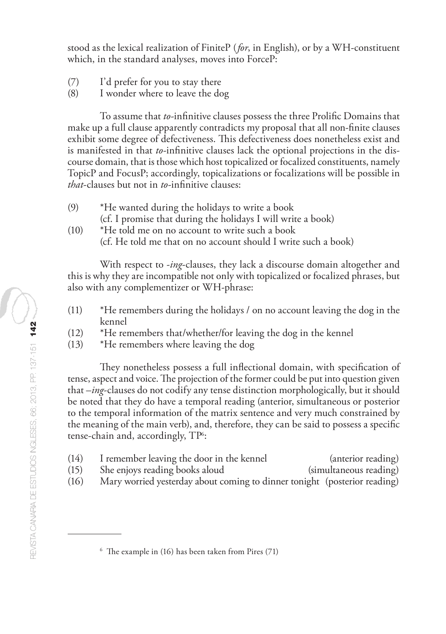stood as the lexical realization of FiniteP (*for*, in English), or by a WH-constituent which, in the standard analyses, moves into ForceP:

- (7) I'd prefer for you to stay there<br>(8) I wonder where to leave the do
- I wonder where to leave the dog

To assume that *to*-infinitive clauses possess the three Prolific Domains that make up a full clause apparently contradicts my proposal that all non-finite clauses exhibit some degree of defectiveness. This defectiveness does nonetheless exist and is manifested in that *to*-infinitive clauses lack the optional projections in the discourse domain, that is those which host topicalized or focalized constituents, namely TopicP and FocusP; accordingly, topicalizations or focalizations will be possible in *that*-clauses but not in *to*-infinitive clauses:

- (9) \*He wanted during the holidays to write a book
	- (cf. I promise that during the holidays I will write a book)
- (10) \*He told me on no account to write such a book (cf. He told me that on no account should I write such a book)

With respect to -*ing*-clauses, they lack a discourse domain altogether and this is why they are incompatible not only with topicalized or focalized phrases, but also with any complementizer or WH-phrase:

- (11) \*He remembers during the holidays / on no account leaving the dog in the kennel
- (12) \*He remembers that/whether/for leaving the dog in the kennel
- (13) \*He remembers where leaving the dog

They nonetheless possess a full inflectional domain, with specification of tense, aspect and voice. The projection of the former could be put into question given that –*ing*-clauses do not codify any tense distinction morphologically, but it should be noted that they do have a temporal reading (anterior, simultaneous or posterior to the temporal information of the matrix sentence and very much constrained by the meaning of the main verb), and, therefore, they can be said to possess a specific tense-chain and, accordingly, TP<sup>6</sup>:

- (14) I remember leaving the door in the kennel (anterior reading)
- (15) She enjoys reading books aloud (simultaneous reading)
- (16) Mary worried yesterday about coming to dinner tonight (posterior reading)

 $6$  The example in (16) has been taken from Pires (71)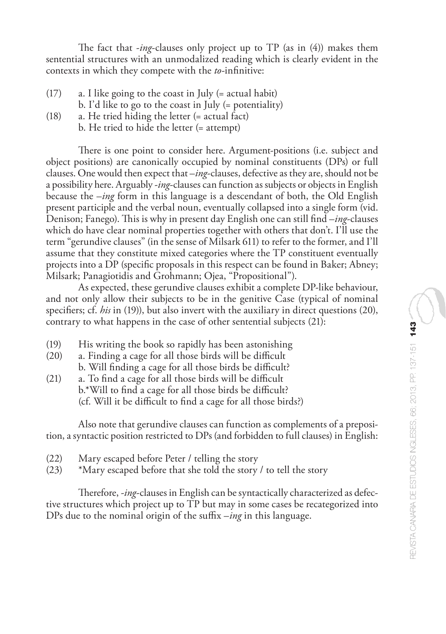The fact that -*ing*-clauses only project up to TP (as in (4)) makes them sentential structures with an unmodalized reading which is clearly evident in the contexts in which they compete with the *to*-infinitive:

- (17) a. I like going to the coast in July (= actual habit) b. I'd like to go to the coast in July (= potentiality)
- (18) a. He tried hiding the letter (= actual fact)
	- b. He tried to hide the letter (= attempt)

There is one point to consider here. Argument-positions (i.e. subject and object positions) are canonically occupied by nominal constituents (DPs) or full clauses. One would then expect that –*ing*-clauses, defective as they are, should not be a possibility here. Arguably -*ing*-clauses can function as subjects or objects in English because the –*ing* form in this language is a descendant of both, the Old English present participle and the verbal noun, eventually collapsed into a single form (vid. Denison; Fanego). This is why in present day English one can still find –*ing*-clauses which do have clear nominal properties together with others that don't. I'll use the term "gerundive clauses" (in the sense of Milsark 611) to refer to the former, and I'll assume that they constitute mixed categories where the TP constituent eventually projects into a DP (specific proposals in this respect can be found in Baker; Abney; Milsark; Panagiotidis and Grohmann; Ojea, "Propositional").

As expected, these gerundive clauses exhibit a complete DP-like behaviour, and not only allow their subjects to be in the genitive Case (typical of nominal specifiers; cf. *his* in (19)), but also invert with the auxiliary in direct questions (20), contrary to what happens in the case of other sentential subjects (21):

- (19) His writing the book so rapidly has been astonishing
- (20) a. Finding a cage for all those birds will be difficult b. Will finding a cage for all those birds be difficult?
- (21) a. To find a cage for all those birds will be difficult b.\*Will to find a cage for all those birds be difficult? (cf. Will it be difficult to find a cage for all those birds?)

Also note that gerundive clauses can function as complements of a preposition, a syntactic position restricted to DPs (and forbidden to full clauses) in English:

- (22) Mary escaped before Peter / telling the story
- $(23)$  \*Mary escaped before that she told the story / to tell the story

Therefore, *-ing-*clauses in English can be syntactically characterized as defective structures which project up to TP but may in some cases be recategorized into DPs due to the nominal origin of the suffix –*ing* in this language.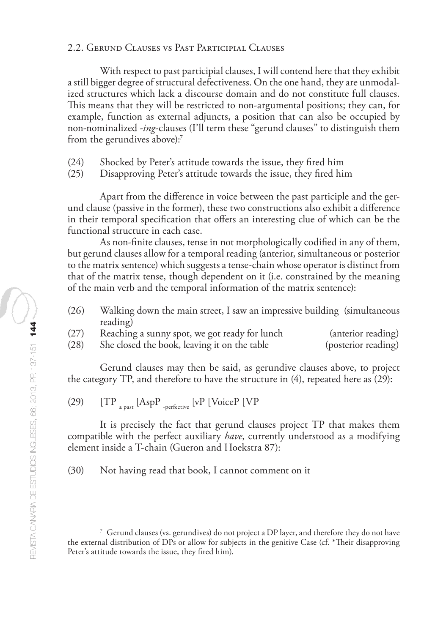#### 2.2. Gerund Clauses vs Past Participial Clauses

With respect to past participial clauses, I will contend here that they exhibit a still bigger degree of structural defectiveness. On the one hand, they are unmodalized structures which lack a discourse domain and do not constitute full clauses. This means that they will be restricted to non-argumental positions; they can, for example, function as external adjuncts, a position that can also be occupied by non-nominalized -*ing*-clauses (I'll term these "gerund clauses" to distinguish them from the gerundives above):<sup>7</sup>

- (24) Shocked by Peter's attitude towards the issue, they fired him
- Disapproving Peter's attitude towards the issue, they fired him

Apart from the difference in voice between the past participle and the gerund clause (passive in the former), these two constructions also exhibit a difference in their temporal specification that offers an interesting clue of which can be the functional structure in each case.

As non-finite clauses, tense in not morphologically codified in any of them, but gerund clauses allow for a temporal reading (anterior, simultaneous or posterior to the matrix sentence) which suggests a tense-chain whose operator is distinct from that of the matrix tense, though dependent on it (i.e. constrained by the meaning of the main verb and the temporal information of the matrix sentence):

(26) Walking down the main street, I saw an impressive building (simultaneous reading)

| (27) | Reaching a sunny spot, we got ready for lunch | (anterior reading)  |
|------|-----------------------------------------------|---------------------|
| (28) | She closed the book, leaving it on the table  | (posterior reading) |

Gerund clauses may then be said, as gerundive clauses above, to project the category TP, and therefore to have the structure in  $(4)$ , repeated here as  $(29)$ :

(29)  $[TP_{\text{test}}]$  [AspP  $_{\text{perfective}}$  [vP [VoiceP [VP

It is precisely the fact that gerund clauses project TP that makes them compatible with the perfect auxiliary *have*, currently understood as a modifying element inside a T-chain (Gueron and Hoekstra 87):

(30) Not having read that book, I cannot comment on it

<sup>7</sup> Gerund clauses (vs. gerundives) do not project a DP layer, and therefore they do not have the external distribution of DPs or allow for subjects in the genitive Case (cf. \*Their disapproving Peter's attitude towards the issue, they fired him).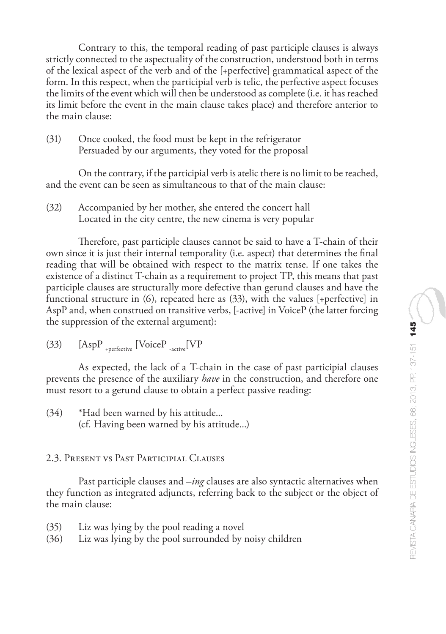Contrary to this, the temporal reading of past participle clauses is always strictly connected to the aspectuality of the construction, understood both in terms of the lexical aspect of the verb and of the [+perfective] grammatical aspect of the form. In this respect, when the participial verb is telic, the perfective aspect focuses the limits of the event which will then be understood as complete (i.e. it has reached its limit before the event in the main clause takes place) and therefore anterior to the main clause:

(31) Once cooked, the food must be kept in the refrigerator Persuaded by our arguments, they voted for the proposal

On the contrary, if the participial verb is atelic there is no limit to be reached, and the event can be seen as simultaneous to that of the main clause:

(32) Accompanied by her mother, she entered the concert hall Located in the city centre, the new cinema is very popular

Therefore, past participle clauses cannot be said to have a T-chain of their own since it is just their internal temporality (i.e. aspect) that determines the final reading that will be obtained with respect to the matrix tense. If one takes the existence of a distinct T-chain as a requirement to project TP, this means that past participle clauses are structurally more defective than gerund clauses and have the functional structure in (6), repeated here as (33), with the values [+perfective] in AspP and, when construed on transitive verbs, [-active] in VoiceP (the latter forcing the suppression of the external argument):

(33)  $[AspP_{\text{--perfective}}[VoiceP_{\text{--active}}[VP$ 

As expected, the lack of a T-chain in the case of past participial clauses prevents the presence of the auxiliary *have* in the construction, and therefore one must resort to a gerund clause to obtain a perfect passive reading:

(34) \*Had been warned by his attitude... (cf. Having been warned by his attitude...)

# 2.3. Present vs Past Participial Clauses

Past participle clauses and –*ing* clauses are also syntactic alternatives when they function as integrated adjuncts, referring back to the subject or the object of the main clause:

- (35) Liz was lying by the pool reading a novel
- (36) Liz was lying by the pool surrounded by noisy children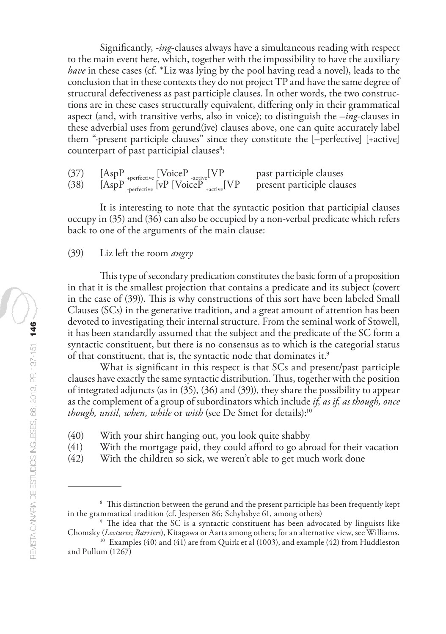Significantly, -*ing*-clauses always have a simultaneous reading with respect to the main event here, which, together with the impossibility to have the auxiliary *have* in these cases (cf. \*Liz was lying by the pool having read a novel), leads to the conclusion that in these contexts they do not project TP and have the same degree of structural defectiveness as past participle clauses. In other words, the two constructions are in these cases structurally equivalent, differing only in their grammatical aspect (and, with transitive verbs, also in voice); to distinguish the *–ing*-clauses in these adverbial uses from gerund(ive) clauses above, one can quite accurately label them "·present participle clauses" since they constitute the [–perfective] [+active] counterpart of past participial clauses<sup>8</sup>:

 $(37)$  [AspP  $_{\text{rperfective}}$  [VoiceP  $_{\text{active}}$ [VP past participle clauses (38)  $[AspP]$ <sub>-perfective</sub> [vP [VoiceP  $_{\text{active}}$ [VP present participle clauses

It is interesting to note that the syntactic position that participial clauses occupy in (35) and (36) can also be occupied by a non-verbal predicate which refers back to one of the arguments of the main clause:

#### (39) Liz left the room *angry*

This type of secondary predication constitutes the basic form of a proposition in that it is the smallest projection that contains a predicate and its subject (covert in the case of (39)). This is why constructions of this sort have been labeled Small Clauses (SCs) in the generative tradition, and a great amount of attention has been devoted to investigating their internal structure. From the seminal work of Stowell, it has been standardly assumed that the subject and the predicate of the SC form a syntactic constituent, but there is no consensus as to which is the categorial status of that constituent, that is, the syntactic node that dominates it.<sup>9</sup>

What is significant in this respect is that SCs and present/past participle clauses have exactly the same syntactic distribution. Thus, together with the position of integrated adjuncts (as in (35), (36) and (39)), they share the possibility to appear as the complement of a group of subordinators which include *if, as if, as though, once though, until, when, while* or *with* (see De Smet for details):<sup>10</sup>

- (40) With your shirt hanging out, you look quite shabby
- (41) With the mortgage paid, they could afford to go abroad for their vacation
- (42) With the children so sick, we weren't able to get much work done

<sup>&</sup>lt;sup>8</sup> This distinction between the gerund and the present participle has been frequently kept in the grammatical tradition (cf. Jespersen 86; Schybsbye 61, among others)

<sup>&</sup>lt;sup>9</sup> The idea that the SC is a syntactic constituent has been advocated by linguists like Chomsky (*Lectures*; *Barriers*), Kitagawa or Aarts among others; for an alternative view, see Williams.

<sup>&</sup>lt;sup>10</sup> Examples (40) and (41) are from Quirk et al (1003), and example (42) from Huddleston and Pullum (1267)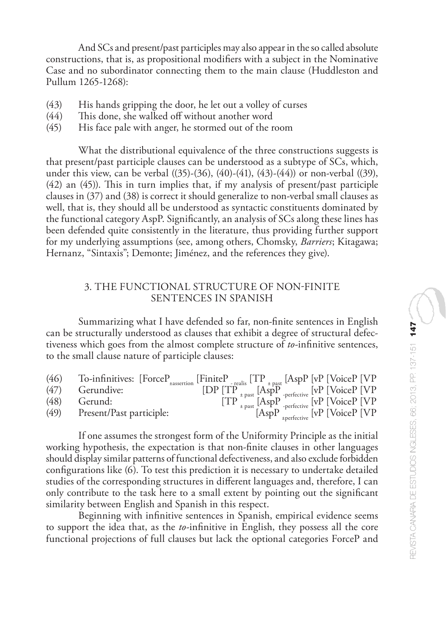And SCs and present/past participles may also appear in the so called absolute constructions, that is, as propositional modifiers with a subject in the Nominative Case and no subordinator connecting them to the main clause (Huddleston and Pullum 1265-1268):

- $(43)$  His hands gripping the door, he let out a volley of curses  $(44)$  This done, she walked off without another word
- $(44)$  This done, she walked off without another word  $(45)$  His face pale with anger, he stormed out of the r
- His face pale with anger, he stormed out of the room

What the distributional equivalence of the three constructions suggests is that present/past participle clauses can be understood as a subtype of SCs, which, under this view, can be verbal ((35)-(36), (40)-(41), (43)-(44)) or non-verbal ((39), (42) an (45)). This in turn implies that, if my analysis of present/past participle clauses in (37) and (38) is correct it should generalize to non-verbal small clauses as well, that is, they should all be understood as syntactic constituents dominated by the functional category AspP. Significantly, an analysis of SCs along these lines has been defended quite consistently in the literature, thus providing further support for my underlying assumptions (see, among others, Chomsky, *Barriers*; Kitagawa; Hernanz, "Sintaxis"; Demonte; Jiménez, and the references they give).

## 3. THE FUNCTIONAL STRUCTURE OF NON-FINITE SENTENCES IN SPANISH

Summarizing what I have defended so far, non-finite sentences in English can be structurally understood as clauses that exhibit a degree of structural defectiveness which goes from the almost complete structure of *to*-infinitive sentences, to the small clause nature of participle clauses:

| (46) | To-infinitives: $[ForceP_{\text{uasertion}}]$ $[TimeP_{\text{uper}}]$ $[TP_{\text{uper}}]$ $[AspP]$ $[VP]$ $[VoiceP]$ $[VP]$ |                                                                                                                                       |
|------|------------------------------------------------------------------------------------------------------------------------------|---------------------------------------------------------------------------------------------------------------------------------------|
| (47) | Gerundive:                                                                                                                   |                                                                                                                                       |
| (48) | Gerund:                                                                                                                      |                                                                                                                                       |
| (49) | Present/Past participle:                                                                                                     | $[DP  [TP++ past [AspP+perfective [vP [VoiceP [VP-1 parts [AspP-perfective [vP [VoiceP [VP-1 parts [AspP-perfective [vP [VoiceP [VP-$ |

If one assumes the strongest form of the Uniformity Principle as the initial working hypothesis, the expectation is that non-finite clauses in other languages should display similar patterns of functional defectiveness, and also exclude forbidden configurations like (6). To test this prediction it is necessary to undertake detailed studies of the corresponding structures in different languages and, therefore, I can only contribute to the task here to a small extent by pointing out the significant similarity between English and Spanish in this respect.

Beginning with infinitive sentences in Spanish, empirical evidence seems to support the idea that, as the *to*-infinitive in English, they possess all the core functional projections of full clauses but lack the optional categories ForceP and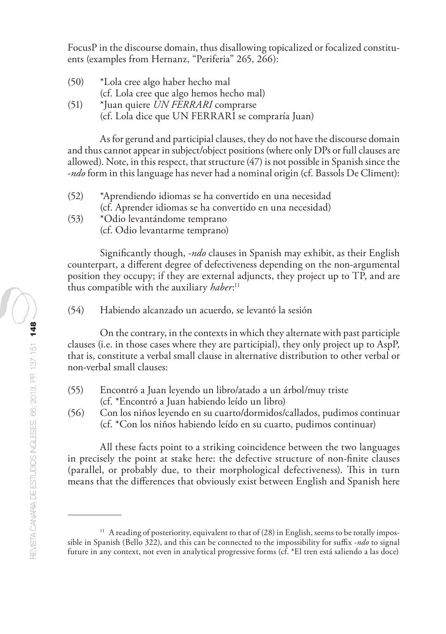FocusP in the discourse domain, thus disallowing topicalized or focalized constituents (examples from Hernanz, "Periferia" 265, 266):

- (50) \*Lola cree algo haber hecho mal (cf. Lola cree que algo hemos hecho mal) (51) \*Juan quiere *UN FERRARI* comprarse
	- (cf. Lola dice que UN FERRARI se compraría Juan)

As for gerund and participial clauses, they do not have the discourse domain and thus cannot appear in subject/object positions (where only DPs or full clauses are allowed). Note, in this respect, that structure (47) is not possible in Spanish since the -*ndo* form in this language has never had a nominal origin (cf. Bassols De Climent):

- (52) \*Aprendiendo idiomas se ha convertido en una necesidad (cf. Aprender idiomas se ha convertido en una necesidad)
- (53) \*Odio levantándome temprano (cf. Odio levantarme temprano)

Significantly though, -*ndo* clauses in Spanish may exhibit, as their English counterpart, a different degree of defectiveness depending on the non-argumental position they occupy; if they are external adjuncts, they project up to TP, and are thus compatible with the auxiliary *haber*: 11

(54) Habiendo alcanzado un acuerdo, se levantó la sesión

On the contrary, in the contexts in which they alternate with past participle clauses (i.e. in those cases where they are participial), they only project up to AspP, that is, constitute a verbal small clause in alternative distribution to other verbal or non-verbal small clauses:

- (55) Encontró a Juan leyendo un libro/atado a un árbol/muy triste (cf. \*Encontró a Juan habiendo leído un libro)
- (56) Con los niños leyendo en su cuarto/dormidos/callados, pudimos continuar (cf. \*Con los niños habiendo leído en su cuarto, pudimos continuar)

All these facts point to a striking coincidence between the two languages in precisely the point at stake here: the defective structure of non-finite clauses (parallel, or probably due, to their morphological defectiveness). This in turn means that the differences that obviously exist between English and Spanish here

<sup>&</sup>lt;sup>11</sup> A reading of posteriority, equivalent to that of (28) in English, seems to be totally impossible in Spanish (Bello 322), and this can be connected to the impossibility for suffix -*ndo* to signal future in any context, not even in analytical progressive forms (cf. \*El tren está saliendo a las doce)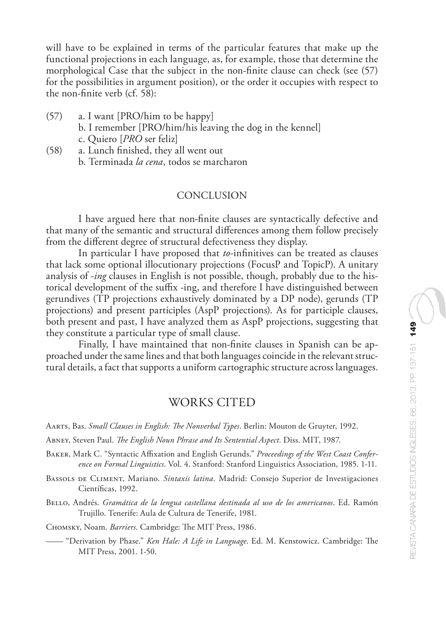will have to be explained in terms of the particular features that make up the functional projections in each language, as, for example, those that determine the morphological Case that the subject in the non-finite clause can check (see (57) for the possibilities in argument position), or the order it occupies with respect to the non-finite verb (cf. 58):

- (57) a. I want [PRO/him to be happy] b. I remember [PRO/him/his leaving the dog in the kennel] c. Quiero [*PRO* ser feliz]
- (58) a. Lunch finished, they all went out b. Terminada *la cena*, todos se marcharon

## **CONCLUSION**

I have argued here that non-finite clauses are syntactically defective and that many of the semantic and structural differences among them follow precisely from the different degree of structural defectiveness they display.

In particular I have proposed that *to*-infinitives can be treated as clauses that lack some optional illocutionary projections (FocusP and TopicP). A unitary analysis of -*ing* clauses in English is not possible, though, probably due to the historical development of the suffix -ing, and therefore I have distinguished between gerundives (TP projections exhaustively dominated by a DP node), gerunds (TP projections) and present participles (AspP projections). As for participle clauses, both present and past, I have analyzed them as AspP projections, suggesting that they constitute a particular type of small clause.

Finally, I have maintained that non-finite clauses in Spanish can be approached under the same lines and that both languages coincide in the relevant structural details, a fact that supports a uniform cartographic structure across languages.

## WORKS CITED

Aarts, Bas. *Small Clauses in English: The Nonverbal Types*. Berlin: Mouton de Gruyter, 1992.

Abney, Steven Paul. *The English Noun Phrase and Its Sentential Aspect*. Diss. MIT, 1987.

Baker, Mark C. "Syntactic Affixation and English Gerunds." *Proceedings of the West Coast Conference on Formal Linguistics*. Vol. 4. Stanford: Stanford Linguistics Association, 1985. 1-11.

Bassols de Climent, Mariano. *Sintaxis latina*. Madrid: Consejo Superior de Investigaciones Científicas, 1992.

Bello, Andrés. *Gramática de la lengua castellana destinada al uso de los americanos*. Ed. Ramón Trujillo. Tenerife: Aula de Cultura de Tenerife, 1981.

Chomsky, Noam. *Barriers*. Cambridge: The MIT Press, 1986.

—— "Derivation by Phase." *Ken Hale: A Life in Language*. Ed. M. Kenstowicz. Cambridge: The MIT Press, 2001. 1-50.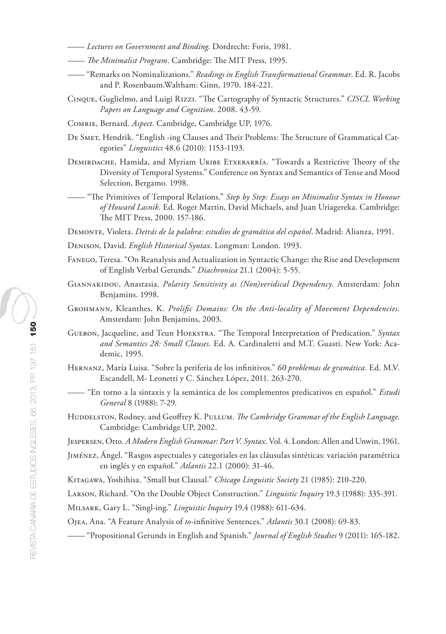- —— *Lectures on Government and Binding*. Dordrecht: Foris, 1981.
- —— *The Minimalist Program*. Cambridge: The MIT Press, 1995.
- —— "Remarks on Nominalizations." *Readings in English Transformational Grammar*. Ed. R. Jacobs and P. Rosenbaum.Waltham: Ginn, 1970. 184-221.
- Cinque, Guglielmo, and Luigi Rizzi. "The Cartography of Syntactic Structures." *CISCL Working Papers on Language and Cognition*. 2008. 43-59.
- Comrie, Bernard. *Aspect*. Cambridge, Cambridge UP, 1976.
- De Smet, Hendrik. "English -ing Clauses and Their Problems: The Structure of Grammatical Categories" *Linguistics* 48.6 (2010): 1153-1193.
- DEMIRDACHE, Hamida, and Myriam URIBE ETXEBARRÍA. "Towards a Restrictive Theory of the Diversity of Temporal Systems." Conference on Syntax and Semantics of Tense and Mood Selection, Bergamo. 1998.
- —— "The Primitives of Temporal Relations." *Step by Step: Essays on Minimalist Syntax in Honour of Howard Lasnik*. Ed. Roger Martin, David Michaels, and Juan Uriagereka. Cambridge: The MIT Press, 2000. 157-186.

Demonte, Violeta. *Detrás de la palabra: estudios de gramática del español*. Madrid: Alianza, 1991.

- Denison, David. *English Historical Syntax*. Longman: London. 1993.
- Fanego, Teresa. "On Reanalysis and Actualization in Syntactic Change: the Rise and Development of English Verbal Gerunds." *Diachronica* 21.1 (2004): 5-55.
- Giannakidou, Anastasia. *Polarity Sensitivity as (Non)veridical Dependency*. Amsterdam: John Benjamins. 1998.
- Grohmann, Kleanthes. K. *Prolific Domains: On the Anti-locality of Movement Dependencies*. Amsterdam: John Benjamins, 2003.
- Gueron, Jacqueline, and Teun Hoekstra. "The Temporal Interpretation of Predication." *Syntax and Semantics 28: Small Clauses*. Ed. A. Cardinaletti and M.T. Guasti. New York: Academic, 1995.
- Hernanz, María Luisa. "Sobre la periferia de los infinitivos." *60 problemas de gramática*. Ed. M.V. Escandell, M- Leonetti y C. Sánchez López, 2011. 263-270.
- —— "En torno a la sintaxis y la semántica de los complementos predicativos en español." *Estudi General* 8 (1988): 7-29.
- Huddelston, Rodney, and Geoffrey K. Pullum. The Cambridge Grammar of the English Language. Cambridge: Cambridge UP, 2002.

Jespersen, Otto. *A Modern English Grammar: Part V. Syntax*. Vol. 4. London: Allen and Unwin, 1961.

Jiménez, Ángel. "Rasgos aspectuales y categoriales en las cláusulas sintéticas: variación paramétrica en inglés y en español." *Atlantis* 22.1 (2000): 31-46.

Kitagawa, Yoshihisa. "Small but Clausal." *Chicago Linguistic Society* 21 (1985): 210-220.

Larson, Richard. "On the Double Object Construction." *Linguistic Inquiry* 19.3 (1988): 335-391.

Milsark, Gary L. "Singl-ing." *Linguistic Inquiry* 19.4 (1988): 611-634.

Ojea, Ana. "A Feature Analysis of *to*-infinitive Sentences." *Atlantis* 30.1 (2008): 69-83.

—— "Propositional Gerunds in English and Spanish." *Journal of English Studies* 9 (2011): 165-182.